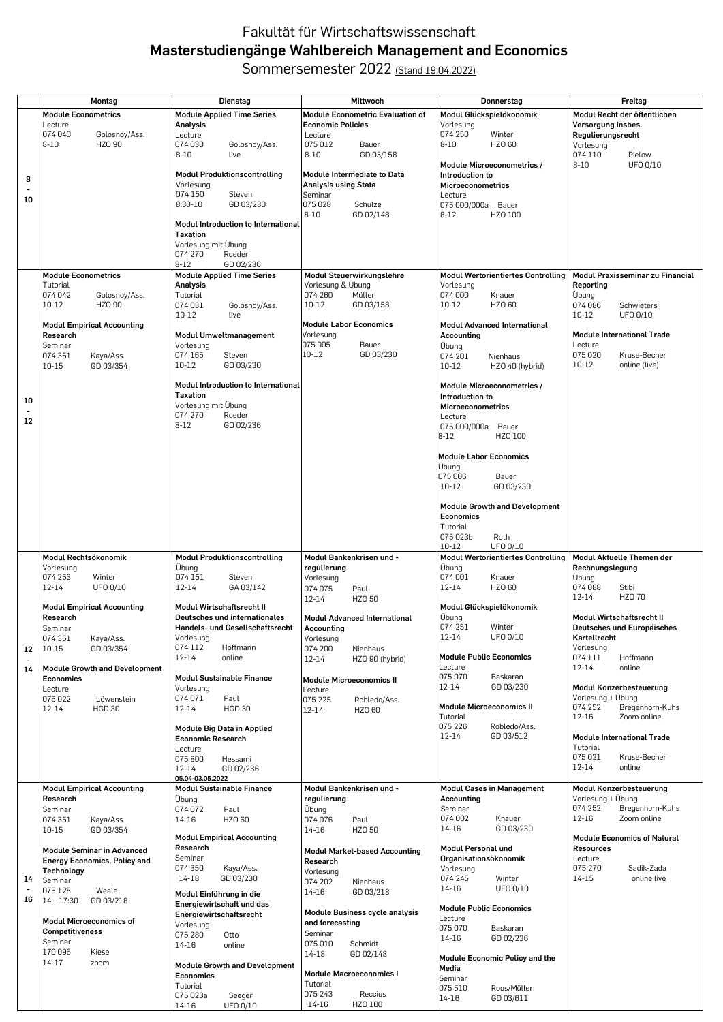## Fakultät für Wirtschaftswissenschaft **Masterstudiengänge Wahlbereich Management and Economics**

Sommersemester 2022 (Stand 19.04.2022)

|    | Montag                                            | Dienstag                                                          | Mittwoch                                          | Donnerstag                                                         | Freitag                                      |
|----|---------------------------------------------------|-------------------------------------------------------------------|---------------------------------------------------|--------------------------------------------------------------------|----------------------------------------------|
|    | <b>Module Econometrics</b>                        | <b>Module Applied Time Series</b>                                 | Module Econometric Evaluation of                  | Modul Glückspielökonomik                                           | Modul Recht der öffentlichen                 |
|    | Lecture                                           | Analysis                                                          | <b>Economic Policies</b>                          | Vorlesung                                                          | Versorgung insbes.                           |
|    | 074 040<br>Golosnoy/Ass.                          | Lecture                                                           | Lecture                                           | 074 250<br>Winter                                                  | Regulierungsrecht                            |
|    | $8 - 10$<br>HZO 90                                | 074 030<br>Golosnoy/Ass.                                          | 075 012<br>Bauer                                  | $8 - 10$<br>HZO 60                                                 | Vorlesung                                    |
|    |                                                   | $8 - 10$<br>live                                                  | GD 03/158<br>$8 - 10$                             | Module Microeconometrics /                                         | 074 110<br>Pielow<br>$8 - 10$<br>UFO 0/10    |
|    |                                                   | <b>Modul Produktionscontrolling</b>                               | Module Intermediate to Data                       | Introduction to                                                    |                                              |
| 8  |                                                   | Vorlesung                                                         | <b>Analysis using Stata</b>                       | <b>Microeconometrics</b>                                           |                                              |
| 10 |                                                   | 074 150<br>Steven                                                 | Seminar                                           | Lecture                                                            |                                              |
|    |                                                   | $8:30-10$<br>GD 03/230                                            | 075 028<br>Schulze                                | 075 000/000a Bauer                                                 |                                              |
|    |                                                   | <b>Modul Introduction to International</b>                        | $8 - 10$<br>GD 02/148                             | $8 - 12$<br>HZO 100                                                |                                              |
|    |                                                   | Taxation                                                          |                                                   |                                                                    |                                              |
|    |                                                   | Vorlesung mit Übung                                               |                                                   |                                                                    |                                              |
|    |                                                   | Roeder<br>074 270                                                 |                                                   |                                                                    |                                              |
|    |                                                   | GD 02/236<br>$8-12$                                               |                                                   |                                                                    |                                              |
|    | <b>Module Econometrics</b><br>Tutorial            | <b>Module Applied Time Series</b>                                 | Modul Steuerwirkungslehre                         | <b>Modul Wertorientiertes Controlling</b>                          | Modul Praxisseminar zu Financial             |
|    | 074 042<br>Golosnoy/Ass.                          | Analysis<br>Tutorial                                              | Vorlesung & Übung<br>074 260<br>Müller            | Vorlesung<br>074 000<br>Knauer                                     | Reporting<br>Übung                           |
|    | HZO 90<br>$10 - 12$                               | 074 031<br>Golosnoy/Ass.                                          | $10 - 12$<br>GD 03/158                            | $10 - 12$<br>HZO 60                                                | 074 086<br>Schwieters                        |
|    |                                                   | 10-12<br>live                                                     |                                                   |                                                                    | $10 - 12$<br>UFO 0/10                        |
|    | <b>Modul Empirical Accounting</b>                 |                                                                   | <b>Module Labor Economics</b>                     | <b>Modul Advanced International</b>                                |                                              |
|    | Research                                          | <b>Modul Umweltmanagement</b>                                     | Vorlesung                                         | Accounting                                                         | <b>Module International Trade</b>            |
|    | Seminar<br>074 351                                | Vorlesung<br>074 165<br>Steven                                    | 075 005<br>Bauer<br>GD 03/230<br>10-12            | Übung<br>074 201<br>Nienhaus                                       | Lecture<br>075 020<br>Kruse-Becher           |
|    | Kaya/Ass.<br>10-15<br>GD 03/354                   | $10 - 12$<br>GD 03/230                                            |                                                   | $10 - 12$<br>HZO 40 (hybrid)                                       | $10 - 12$<br>online (live)                   |
|    |                                                   |                                                                   |                                                   |                                                                    |                                              |
|    |                                                   | <b>Modul Introduction to International</b>                        |                                                   | Module Microeconometrics /                                         |                                              |
| 10 |                                                   | <b>Taxation</b>                                                   |                                                   | Introduction to                                                    |                                              |
|    |                                                   | Vorlesung mit Übung<br>Roeder                                     |                                                   | Microeconometrics                                                  |                                              |
| 12 |                                                   | 074 270<br>$8 - 12$<br>GD 02/236                                  |                                                   | Lecture<br>075 000/000a<br>Bauer                                   |                                              |
|    |                                                   |                                                                   |                                                   | $8 - 12$<br>HZO 100                                                |                                              |
|    |                                                   |                                                                   |                                                   |                                                                    |                                              |
|    |                                                   |                                                                   |                                                   | <b>Module Labor Economics</b>                                      |                                              |
|    |                                                   |                                                                   |                                                   | Übung                                                              |                                              |
|    |                                                   |                                                                   |                                                   | 075 006<br>Bauer<br>$10 - 12$<br>GD 03/230                         |                                              |
|    |                                                   |                                                                   |                                                   |                                                                    |                                              |
|    |                                                   |                                                                   |                                                   | <b>Module Growth and Development</b>                               |                                              |
|    |                                                   |                                                                   |                                                   | Economics                                                          |                                              |
|    |                                                   |                                                                   |                                                   | Tutorial                                                           |                                              |
|    |                                                   |                                                                   |                                                   | 075 023b<br>Roth                                                   |                                              |
|    | Modul Rechtsökonomik                              | <b>Modul Produktionscontrolling</b>                               | Modul Bankenkrisen und -                          | $10 - 12$<br>UFO 0/10<br><b>Modul Wertorientiertes Controlling</b> | Modul Aktuelle Themen der                    |
|    | Vorlesung                                         | Übung                                                             | regulierung                                       | Übung                                                              | Rechnungslegung                              |
|    | 074 253<br>Winter                                 | 074 151<br>Steven                                                 | Vorlesung                                         | 074 001<br>Knauer                                                  | Übung                                        |
|    | $12 - 14$<br>UFO 0/10                             | 12-14<br>GA 03/142                                                | 074 075<br>Paul                                   | 12-14<br>HZO 60                                                    | 074088<br>Stibi                              |
|    |                                                   |                                                                   | 12-14<br><b>HZO 50</b>                            |                                                                    | 12-14<br>HZO 70                              |
|    | <b>Modul Empirical Accounting</b><br>Research     | <b>Modul Wirtschaftsrecht II</b><br>Deutsches und internationales |                                                   | Modul Glückspielökonomik<br>Übung                                  | Modul Wirtschaftsrecht II                    |
|    | Seminar                                           | Handels- und Gesellschaftsrecht                                   | <b>Modul Advanced International</b><br>Accounting | 074 251<br>Winter                                                  | Deutsches und Europäisches                   |
|    | 074 351<br>Kaya/Ass.                              | Vorlesung                                                         | Vorlesung                                         | $12 - 14$<br>UFO 0/10                                              | Kartellrecht                                 |
| 12 | 10-15<br>GD 03/354                                | 074 112<br>Hoffmann                                               | 074 200<br>Nienhaus                               |                                                                    | Vorlesung                                    |
|    |                                                   | 12-14<br>online                                                   | 12-14<br>HZO 90 (hybrid)                          | <b>Module Public Economics</b>                                     | 074 111<br>Hoffmann                          |
| 14 | <b>Module Growth and Development</b>              |                                                                   |                                                   | Lecture<br>075 070<br>Baskaran                                     | 12-14<br>online                              |
|    | <b>Economics</b><br>Lecture                       | <b>Modul Sustainable Finance</b><br>Vorlesung                     | <b>Module Microeconomics II</b>                   | 12-14<br>GD 03/230                                                 | Modul Konzerbesteuerung                      |
|    | 075 022<br>Löwenstein                             | 074 071<br>Paul                                                   | Lecture<br>075 225<br>Robledo/Ass.                |                                                                    | Vorlesung + Übung                            |
|    | 12-14<br><b>HGD 30</b>                            | <b>HGD 30</b><br>12-14                                            | 12-14<br>HZO 60                                   | <b>Module Microeconomics II</b>                                    | 074 252<br>Bregenhorn-Kuhs                   |
|    |                                                   |                                                                   |                                                   | Tutorial                                                           | 12-16<br>Zoom online                         |
|    |                                                   | Module Big Data in Applied                                        |                                                   | 075 226<br>Robledo/Ass.<br>$12 - 14$<br>GD 03/512                  | <b>Module International Trade</b>            |
|    |                                                   | Economic Research<br>Lecture                                      |                                                   |                                                                    | Tutorial                                     |
|    |                                                   | 075 800<br>Hessami                                                |                                                   |                                                                    | 075 021<br>Kruse-Becher                      |
|    |                                                   | 12-14<br>GD 02/236                                                |                                                   |                                                                    | 12-14<br>online                              |
|    |                                                   | 05.04-03.05.2022                                                  |                                                   |                                                                    |                                              |
|    | <b>Modul Empirical Accounting</b>                 | <b>Modul Sustainable Finance</b>                                  | Modul Bankenkrisen und -                          | <b>Modul Cases in Management</b>                                   | Modul Konzerbesteuerung<br>Vorlesung + Übung |
|    | Research<br>Seminar                               | Übung<br>074 072<br>Paul                                          | regulierung<br>Übung                              | Accounting<br>Seminar                                              | 074 252<br>Bregenhorn-Kuhs                   |
|    | 074 351<br>Kaya/Ass.                              | HZO 60<br>14-16                                                   | 074 076<br>Paul                                   | 074 002<br>Knauer                                                  | 12-16<br>Zoom online                         |
|    | $10 - 15$<br>GD 03/354                            |                                                                   | 14-16<br>HZO 50                                   | 14-16<br>GD 03/230                                                 |                                              |
|    |                                                   | <b>Modul Empirical Accounting</b>                                 |                                                   |                                                                    | <b>Module Economics of Natural</b>           |
|    | <b>Module Seminar in Advanced</b>                 | Research<br>Seminar                                               | <b>Modul Market-based Accounting</b>              | Modul Personal und<br>Organisationsökonomik                        | <b>Resources</b><br>Lecture                  |
|    | <b>Energy Economics, Policy and</b><br>Technology | 074 350<br>Kaya/Ass.                                              | Research                                          | Vorlesung                                                          | 075 270<br>Sadik-Zada                        |
| 14 | Seminar                                           | 14-18<br>GD 03/230                                                | Vorlesung<br>074 202<br>Nienhaus                  | 074 245<br>Winter                                                  | 14-15<br>online live                         |
|    | 075 125<br>Weale                                  | Modul Einführung in die                                           | GD 03/218<br>14-16                                | 14-16<br>UFO 0/10                                                  |                                              |
| 16 | $14 - 17:30$<br>GD 03/218                         | Energiewirtschaft und das                                         |                                                   |                                                                    |                                              |
|    |                                                   | Energiewirtschaftsrecht                                           | Module Business cycle analysis                    | <b>Module Public Economics</b><br>Lecture                          |                                              |
|    | <b>Modul Microeconomics of</b>                    | Vorlesung                                                         | and forecasting                                   | 075 070<br>Baskaran                                                |                                              |
|    | <b>Competitiveness</b><br>Seminar                 | 075 280<br>Otto                                                   | Seminar<br>075 010<br>Schmidt                     | 14-16<br>GD 02/236                                                 |                                              |
|    | 170 096<br>Kiese                                  | 14-16<br>online                                                   | 14-18<br>GD 02/148                                |                                                                    |                                              |
|    | 14-17<br>zoom                                     | <b>Module Growth and Development</b>                              |                                                   | Module Economic Policy and the                                     |                                              |
|    |                                                   | Economics                                                         | <b>Module Macroeconomics I</b>                    | Media<br>Seminar                                                   |                                              |
|    |                                                   | Tutorial                                                          | Tutorial                                          | 075 510<br>Roos/Müller                                             |                                              |
|    |                                                   | 075 023a<br>Seeger                                                | 075 243<br>Reccius                                | $14 - 16$<br>GD 03/611                                             |                                              |
|    |                                                   | UFO 0/10<br>14-16                                                 | 14-16<br>HZO 100                                  |                                                                    |                                              |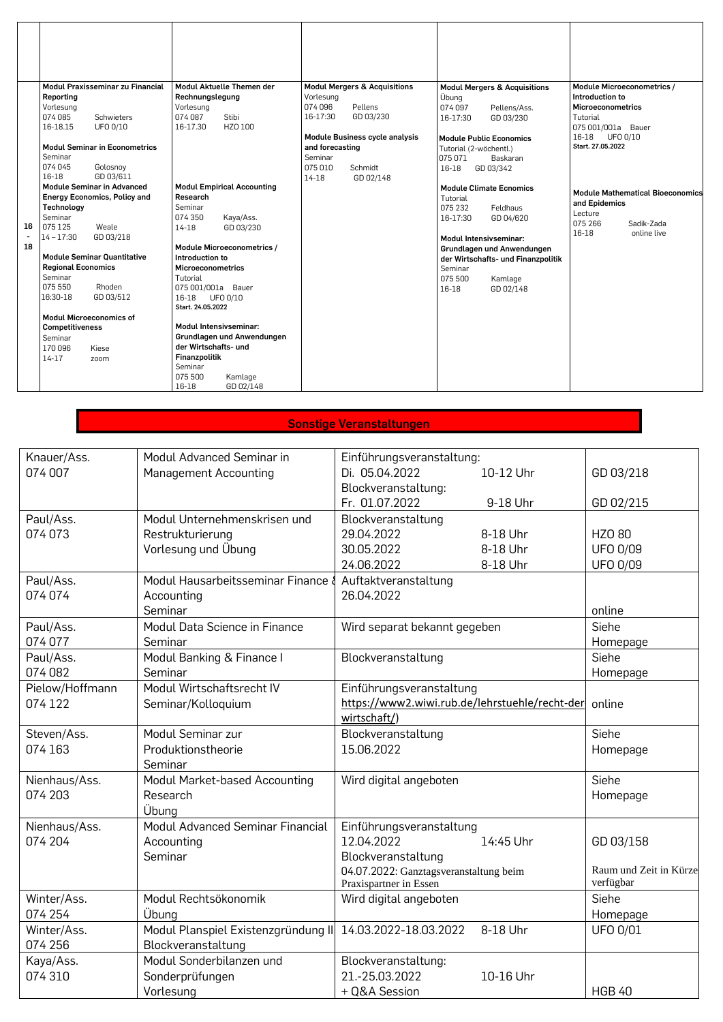| 16<br>18 | Modul Praxisseminar zu Financial<br>Reporting<br>Vorlesung<br>074 085<br>Schwieters<br>UFO 0/10<br>16-18.15<br><b>Modul Seminar in Econometrics</b><br>Seminar<br>074 045<br>Golosnoy<br>GD 03/611<br>16-18<br><b>Module Seminar in Advanced</b><br><b>Energy Economics, Policy and</b><br>Technoloav<br>Seminar<br>075 125<br>Weale<br>GD 03/218<br>$14 - 17:30$ | Modul Aktuelle Themen der<br>Rechnungslegung<br>Vorlesung<br>074 087<br>Stibi<br>HZO 100<br>16-17.30<br><b>Modul Empirical Accounting</b><br>Research<br>Seminar<br>074 350<br>Kaya/Ass.<br>GD 03/230<br>$14 - 18$<br>Module Microeconometrics / | <b>Modul Mergers &amp; Acquisitions</b><br>Vorlesung<br>074 096<br>Pellens<br>GD 03/230<br>16-17:30<br>Module Business cycle analysis<br>and forecasting<br>Seminar<br>075 010<br>Schmidt<br>$14 - 18$<br>GD 02/148 | <b>Modul Mergers &amp; Acquisitions</b><br>Übung<br>074 097<br>Pellens/Ass.<br>16-17:30<br>GD 03/230<br>Module Public Economics<br>Tutorial (2-wöchentl.)<br>075 071<br>Baskaran<br>16-18<br>GD 03/342<br><b>Module Climate Ecnomics</b><br>Tutorial<br>075 232<br>Feldhaus<br>16-17:30<br>GD 04/620<br><b>Modul Intensivseminar:</b><br>Grundlagen und Anwendungen | Module Microeconometrics /<br>Introduction to<br>Microeconometrics<br>Tutorial<br>075 001/001a Bauer<br>UFO 0/10<br>16-18<br>Start. 27.05.2022<br><b>Module Mathematical Bioeconomics</b><br>and Epidemics<br>Lecture<br>075 266<br>Sadik-Zada<br>16-18<br>online live |
|----------|-------------------------------------------------------------------------------------------------------------------------------------------------------------------------------------------------------------------------------------------------------------------------------------------------------------------------------------------------------------------|--------------------------------------------------------------------------------------------------------------------------------------------------------------------------------------------------------------------------------------------------|---------------------------------------------------------------------------------------------------------------------------------------------------------------------------------------------------------------------|---------------------------------------------------------------------------------------------------------------------------------------------------------------------------------------------------------------------------------------------------------------------------------------------------------------------------------------------------------------------|------------------------------------------------------------------------------------------------------------------------------------------------------------------------------------------------------------------------------------------------------------------------|
|          | <b>Module Seminar Quantitative</b>                                                                                                                                                                                                                                                                                                                                | Introduction to                                                                                                                                                                                                                                  |                                                                                                                                                                                                                     | der Wirtschafts- und Finanzpolitik                                                                                                                                                                                                                                                                                                                                  |                                                                                                                                                                                                                                                                        |
|          | <b>Regional Economics</b><br>Seminar<br>075 550<br>Rhoden<br>16:30-18<br>GD 03/512                                                                                                                                                                                                                                                                                | <b>Microeconometrics</b><br>Tutorial<br>075 001/001a Bauer<br>16-18<br>UFO 0/10<br>Start. 24.05.2022                                                                                                                                             |                                                                                                                                                                                                                     | Seminar<br>075 500<br>Kamlage<br>16-18<br>GD 02/148                                                                                                                                                                                                                                                                                                                 |                                                                                                                                                                                                                                                                        |
|          | <b>Modul Microeconomics of</b><br><b>Competitiveness</b><br>Seminar<br>170096<br>Kiese<br>$14-17$<br>zoom                                                                                                                                                                                                                                                         | <b>Modul Intensivseminar:</b><br>Grundlagen und Anwendungen<br>der Wirtschafts- und<br>Finanzpolitik<br>Seminar<br>075 500<br>Kamlage<br>16-18<br>GD 02/148                                                                                      |                                                                                                                                                                                                                     |                                                                                                                                                                                                                                                                                                                                                                     |                                                                                                                                                                                                                                                                        |

## **Sonstige Veranstaltungen**

| Knauer/Ass.     | Modul Advanced Seminar in           | Einführungsveranstaltung:                                        |           |                                     |
|-----------------|-------------------------------------|------------------------------------------------------------------|-----------|-------------------------------------|
| 074 007         | Management Accounting               | Di. 05.04.2022                                                   | 10-12 Uhr | GD 03/218                           |
|                 |                                     | Blockveranstaltung:                                              |           |                                     |
|                 |                                     | Fr. 01.07.2022                                                   | 9-18 Uhr  | GD 02/215                           |
| Paul/Ass.       | Modul Unternehmenskrisen und        | Blockveranstaltung                                               |           |                                     |
| 074 073         | Restrukturierung                    | 29.04.2022                                                       | 8-18 Uhr  | HZO 80                              |
|                 | Vorlesung und Übung                 | 30.05.2022                                                       | 8-18 Uhr  | <b>UFO 0/09</b>                     |
|                 |                                     | 24.06.2022                                                       | 8-18 Uhr  | <b>UFO 0/09</b>                     |
| Paul/Ass.       | Modul Hausarbeitsseminar Finance    | Auftaktveranstaltung                                             |           |                                     |
| 074 074         | Accounting                          | 26.04.2022                                                       |           |                                     |
|                 | Seminar                             |                                                                  |           | online                              |
| Paul/Ass.       | Modul Data Science in Finance       | Wird separat bekannt gegeben                                     |           | Siehe                               |
| 074 077         | Seminar                             |                                                                  |           | Homepage                            |
| Paul/Ass.       | Modul Banking & Finance I           | Blockveranstaltung                                               |           | Siehe                               |
| 074 082         | Seminar                             |                                                                  |           | Homepage                            |
| Pielow/Hoffmann | Modul Wirtschaftsrecht IV           | Einführungsveranstaltung                                         |           |                                     |
| 074 122         | Seminar/Kolloquium                  | https://www2.wiwi.rub.de/lehrstuehle/recht-der online            |           |                                     |
|                 |                                     | wirtschaft/)                                                     |           |                                     |
| Steven/Ass.     | Modul Seminar zur                   | Blockveranstaltung                                               |           | Siehe                               |
| 074 163         | Produktionstheorie                  | 15.06.2022                                                       |           | Homepage                            |
|                 | Seminar                             |                                                                  |           |                                     |
| Nienhaus/Ass.   | Modul Market-based Accounting       | Wird digital angeboten                                           |           | Siehe                               |
| 074 203         | Research                            |                                                                  |           | Homepage                            |
|                 | Übung                               |                                                                  |           |                                     |
| Nienhaus/Ass.   | Modul Advanced Seminar Financial    | Einführungsveranstaltung                                         |           |                                     |
| 074 204         | Accounting                          | 12.04.2022                                                       | 14:45 Uhr | GD 03/158                           |
|                 | Seminar                             | Blockveranstaltung                                               |           |                                     |
|                 |                                     | 04.07.2022: Ganztagsveranstaltung beim<br>Praxispartner in Essen |           | Raum und Zeit in Kürze<br>verfügbar |
| Winter/Ass.     | Modul Rechtsökonomik                | Wird digital angeboten                                           |           | Siehe                               |
| 074 254         | Übung                               |                                                                  |           | Homepage                            |
| Winter/Ass.     | Modul Planspiel Existenzgründung II | 14.03.2022-18.03.2022                                            | 8-18 Uhr  | UFO 0/01                            |
| 074 256         | Blockveranstaltung                  |                                                                  |           |                                     |
| Kaya/Ass.       | Modul Sonderbilanzen und            | Blockveranstaltung:                                              |           |                                     |
| 074 310         | Sonderprüfungen                     | 21.-25.03.2022                                                   | 10-16 Uhr |                                     |
|                 | Vorlesung                           | + Q&A Session                                                    |           | <b>HGB 40</b>                       |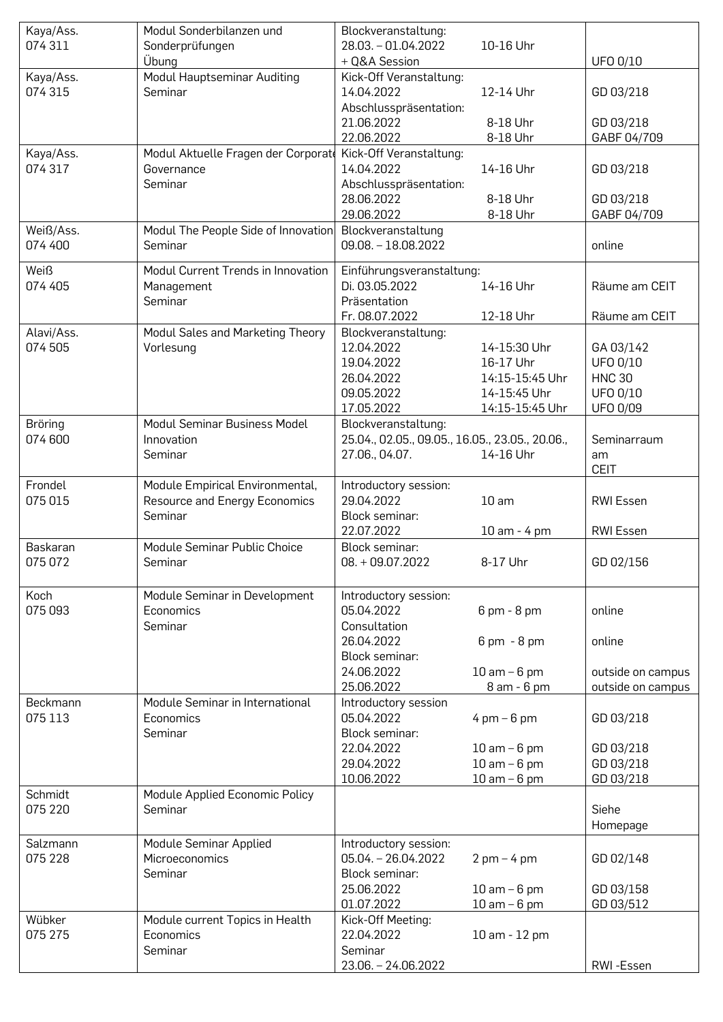| Kaya/Ass.           | Modul Sonderbilanzen und                     | Blockveranstaltung:                             |                               |                                        |
|---------------------|----------------------------------------------|-------------------------------------------------|-------------------------------|----------------------------------------|
| 074 311             | Sonderprüfungen                              | 28.03. - 01.04.2022                             | 10-16 Uhr                     |                                        |
|                     | Übung                                        | + Q&A Session                                   |                               | <b>UFO 0/10</b>                        |
| Kaya/Ass.           | Modul Hauptseminar Auditing                  | Kick-Off Veranstaltung:                         |                               |                                        |
| 074 315             | Seminar                                      | 14.04.2022                                      | 12-14 Uhr                     | GD 03/218                              |
|                     |                                              | Abschlusspräsentation:                          |                               |                                        |
|                     |                                              | 21.06.2022                                      | 8-18 Uhr                      | GD 03/218                              |
|                     |                                              | 22.06.2022                                      | 8-18 Uhr                      | GABF 04/709                            |
| Kaya/Ass.           | Modul Aktuelle Fragen der Corporate          | Kick-Off Veranstaltung:                         |                               |                                        |
| 074 317             | Governance                                   | 14.04.2022                                      | 14-16 Uhr                     | GD 03/218                              |
|                     | Seminar                                      | Abschlusspräsentation:                          |                               |                                        |
|                     |                                              | 28.06.2022                                      | 8-18 Uhr                      | GD 03/218                              |
|                     |                                              | 29.06.2022                                      | 8-18 Uhr                      | GABF 04/709                            |
| Weiß/Ass.           | Modul The People Side of Innovation          | Blockveranstaltung                              |                               |                                        |
| 074 400             | Seminar                                      | $09.08. - 18.08.2022$                           |                               | online                                 |
|                     |                                              |                                                 |                               |                                        |
| <b>Weiß</b>         | Modul Current Trends in Innovation           | Einführungsveranstaltung:                       |                               |                                        |
| 074 405             | Management                                   | Di. 03.05.2022                                  | 14-16 Uhr                     | Räume am CEIT                          |
|                     | Seminar                                      | Präsentation                                    |                               |                                        |
|                     |                                              | Fr. 08.07.2022                                  | 12-18 Uhr                     | Räume am CEIT                          |
| Alavi/Ass.          | Modul Sales and Marketing Theory             | Blockveranstaltung:                             |                               |                                        |
| 074 505             | Vorlesung                                    | 12.04.2022                                      | 14-15:30 Uhr                  | GA 03/142                              |
|                     |                                              | 19.04.2022                                      | 16-17 Uhr                     | UFO 0/10                               |
|                     |                                              | 26.04.2022                                      | 14:15-15:45 Uhr               | <b>HNC 30</b>                          |
|                     |                                              | 09.05.2022                                      | 14-15:45 Uhr                  | UFO 0/10                               |
|                     |                                              | 17.05.2022                                      | 14:15-15:45 Uhr               | <b>UFO 0/09</b>                        |
| Bröring             | Modul Seminar Business Model                 | Blockveranstaltung:                             |                               |                                        |
| 074 600             | Innovation                                   | 25.04., 02.05., 09.05., 16.05., 23.05., 20.06., |                               | Seminarraum                            |
|                     | Seminar                                      | 27.06., 04.07.                                  | 14-16 Uhr                     | am                                     |
|                     |                                              |                                                 |                               | <b>CEIT</b>                            |
| Frondel             | Module Empirical Environmental,              | Introductory session:                           |                               |                                        |
| 075 015             | Resource and Energy Economics                | 29.04.2022                                      | 10 <sub>am</sub>              | <b>RWI Essen</b>                       |
|                     | Seminar                                      | Block seminar:                                  |                               |                                        |
|                     |                                              | 22.07.2022                                      | 10 am - 4 pm                  | RWI Essen                              |
| Baskaran            | Module Seminar Public Choice                 | Block seminar:                                  |                               |                                        |
| 075 072             | Seminar                                      | $08. + 09.07.2022$                              | 8-17 Uhr                      | GD 02/156                              |
|                     |                                              |                                                 |                               |                                        |
| Koch                | Module Seminar in Development                | Introductory session:                           |                               |                                        |
| 075 093             | Economics                                    | 05.04.2022                                      | 6 pm - 8 pm                   | online                                 |
|                     | Seminar                                      | Consultation                                    |                               |                                        |
|                     |                                              | 26.04.2022                                      | $6 \text{ pm} - 8 \text{ pm}$ | online                                 |
|                     |                                              | Block seminar:                                  |                               |                                        |
|                     |                                              | 24.06.2022                                      | $10$ am $-6$ pm               |                                        |
|                     |                                              | 25.06.2022                                      | 8 am - 6 pm                   | outside on campus<br>outside on campus |
|                     |                                              |                                                 |                               |                                        |
| Beckmann<br>075 113 | Module Seminar in International<br>Economics | Introductory session<br>05.04.2022              |                               | GD 03/218                              |
|                     |                                              |                                                 | $4 \text{ pm} - 6 \text{ pm}$ |                                        |
|                     | Seminar                                      | Block seminar:                                  |                               |                                        |
|                     |                                              | 22.04.2022                                      | $10$ am $-6$ pm               | GD 03/218                              |
|                     |                                              | 29.04.2022                                      | $10$ am $-6$ pm               | GD 03/218                              |
|                     |                                              | 10.06.2022                                      | $10$ am $-6$ pm               | GD 03/218                              |
| Schmidt             | Module Applied Economic Policy               |                                                 |                               |                                        |
| 075 220             | Seminar                                      |                                                 |                               | Siehe                                  |
|                     |                                              |                                                 |                               | Homepage                               |
| Salzmann            | Module Seminar Applied                       | Introductory session:                           |                               |                                        |
| 075 228             | Microeconomics                               | $05.04 - 26.04.2022$                            | $2$ pm $-4$ pm                | GD 02/148                              |
|                     | Seminar                                      | Block seminar:                                  |                               |                                        |
|                     |                                              | 25.06.2022                                      | $10$ am $-6$ pm               | GD 03/158                              |
|                     |                                              | 01.07.2022                                      | $10$ am $-6$ pm               | GD 03/512                              |
| Wübker              | Module current Topics in Health              | Kick-Off Meeting:                               |                               |                                        |
| 075 275             | Economics                                    | 22.04.2022                                      | 10 am - 12 pm                 |                                        |
|                     | Seminar                                      | Seminar                                         |                               |                                        |
|                     |                                              | 23.06. - 24.06.2022                             |                               | RWI-Essen                              |